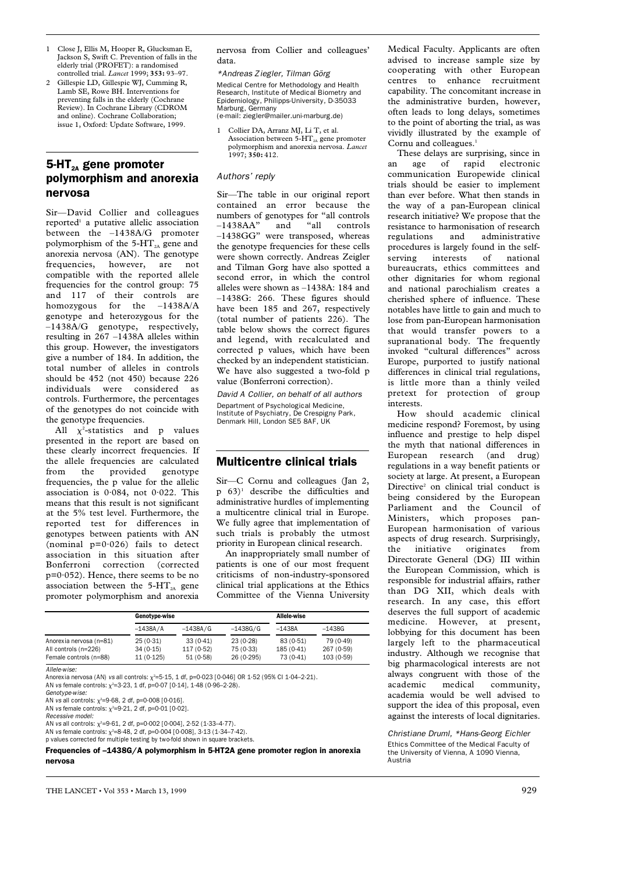- 1 Close J, Ellis M, Hooper R, Glucksman E, Jackson S, Swift C. Prevention of falls in the elderly trial (PROFET): a randomised controlled trial. *Lancet* 1999; **353:** 93–97.
- 2 Gillespie LD, Gillespie WJ, Cumming R, Lamb SE, Rowe BH. Interventions for preventing falls in the elderly (Cochrane Review). In Cochrane Library (CDROM and online). Cochrane Collaboration; issue 1, Oxford: Update Software, 1999.

# 5-HT $_{24}$  gene promoter polymorphism and anorexia nervosa

Sir—David Collier and colleagues reported<sup>1</sup> a putative allelic association between the –1438A/G promoter polymorphism of the 5- $HT_{2A}$  gene and anorexia nervosa (AN). The genotype frequencies, however, are not compatible with the reported allele frequencies for the control group: 75 and 117 of their controls are homozygous for the –1438A/A genotype and heterozygous for the –1438A/G genotype, respectively, resulting in 267 –1438A alleles within this group. However, the investigators give a number of 184. In addition, the total number of alleles in controls should be 452 (not 450) because 226 individuals were considered as controls. Furthermore, the percentages of the genotypes do not coincide with the genotype frequencies.

All  $\chi^2$ -statistics and p values presented in the report are based on these clearly incorrect frequencies. If the allele frequencies are calculated from the provided genotype frequencies, the p value for the allelic association is 0·084, not 0·022. This means that this result is not significant at the 5% test level. Furthermore, the reported test for differences in genotypes between patients with AN (nominal  $p=0.026$ ) fails to detect association in this situation after Bonferroni correction (corrected  $p=0.052$ ). Hence, there seems to be no association between the  $5-HT<sub>2A</sub>$  gene promoter polymorphism and anorexia

nervosa from Collier and colleagues' data.

\*Andreas Ziegler, Tilman Görg Medical Centre for Methodology and Health Research, Institute of Medical Biometry and Epidemiology, Philipps-University, D-35033 Marburg, Germany

- (e-mail: ziegler@mailer.uni-marburg.de)
- 1 Collier DA, Arranz MJ, Li T, et al. Association between  $5-HT<sub>2A</sub>$  gene promoter polymorphism and anorexia nervosa. *Lancet* 1997; **350:** 412.

### Authors' reply

Sir—The table in our original report contained an error because the numbers of genotypes for "all controls<br>-1438AA" and "all controls and "all controls –1438GG" were transposed, whereas the genotype frequencies for these cells were shown correctly. Andreas Zeigler and Tilman Gorg have also spotted a second error, in which the control alleles were shown as –1438A: 184 and –1438G: 266. These figures should have been 185 and 267, respectively (total number of patients 226). The table below shows the correct figures and legend, with recalculated and corrected p values, which have been checked by an independent statistician. We have also suggested a two-fold p value (Bonferroni correction).

David A Collier, on behalf of all authors Department of Psychological Medicine, Institute of Psychiatry, De Crespigny Park, Denmark Hill, London SE5 8AF, UK

### Multicentre clinical trials

Sir—C Cornu and colleagues (Jan 2,  $p$  63)<sup>1</sup> describe the difficulties and administrative hurdles of implementing a multicentre clinical trial in Europe. We fully agree that implementation of such trials is probably the utmost priority in European clinical research.

An inappropriately small number of patients is one of our most frequent criticisms of non-industry-sponsored clinical trial applications at the Ethics Committee of the Vienna University

|                         | Genotype-wise |            |            | Allele-wise |            |
|-------------------------|---------------|------------|------------|-------------|------------|
|                         | $-1438A/A$    | $-1438A/G$ | $-1438G/G$ | $-1438A$    | $-1438G$   |
| Anorexia nervosa (n=81) | 25(0.31)      | 33(0.41)   | 23(0.28)   | 83(0.51)    | 79 (0.49)  |
| All controls (n=226)    | 34(0.15)      | 117 (0.52) | 75 (0.33)  | 185 (0.41)  | 267 (0.59) |
| Female controls (n=88)  | 11(0.125)     | 51 (0.58)  | 26 (0.295) | 73 (0.41)   | 103(0.59)  |

Allele-wise:

Anorexia nervosa (AN) *vs* all controls:  $\chi^2$ =5·15, 1 df, p=0·023 [0·046] OR 1·52 (95% Cl 1·04–2·21). AN vs female controls:  $\chi^2$ =3·23, 1 df, p=0·07 [0·14], 1·48 (0·96–2·28).

Genotype-wise:

AN *vs* all controls:  $\chi^2$ =9·68, 2 df, p=0·008 [0·016].

AN *vs* female controls:  $\chi^2$ =9·21, 2 df, p=0·01 [0·02]. Recessive model:

AN vs all controls:  $\chi^2$ =9·61, 2 df, p=0·002 [0·004], 2·52 (1·33–4·77).

AN *vs* female controls:  $\chi^2$ =8·48, 2 df, p=0·004 [0·008], 3·13 (1·34–7·42). p values corrected for multiple testing by two-fold shown in square brackets.

Frequencies of –1438G/A polymorphism in 5-HT2A gene promoter region in anorexia nervosa

Medical Faculty. Applicants are often advised to increase sample size by cooperating with other European centres to enhance recruitment capability. The concomitant increase in the administrative burden, however, often leads to long delays, sometimes to the point of aborting the trial, as was vividly illustrated by the example of Cornu and colleagues.<sup>1</sup>

These delays are surprising, since in an age of rapid electronic communication Europewide clinical trials should be easier to implement than ever before. What then stands in the way of a pan-European clinical research initiative? We propose that the resistance to harmonisation of research regulations and administrative procedures is largely found in the self-<br>serving interests of national serving interests of national bureaucrats, ethics committees and other dignitaries for whom regional and national parochialism creates a cherished sphere of influence. These notables have little to gain and much to lose from pan-European harmonisation that would transfer powers to a supranational body. The frequently invoked "cultural differences" across Europe, purported to justify national differences in clinical trial regulations, is little more than a thinly veiled pretext for protection of group interests.

How should academic clinical medicine respond? Foremost, by using influence and prestige to help dispel the myth that national differences in European research (and drug) regulations in a way benefit patients or society at large. At present, a European Directive<sup>2</sup> on clinical trial conduct is being considered by the European Parliament and the Council of Ministers, which proposes pan-European harmonisation of various aspects of drug research. Surprisingly, the initiative originates from Directorate General (DG) III within the European Commission, which is responsible for industrial affairs, rather than DG XII, which deals with research. In any case, this effort deserves the full support of academic medicine. However, at present, lobbying for this document has been largely left to the pharmaceutical industry. Although we recognise that big pharmacological interests are not always congruent with those of the academic medical community, academia would be well advised to support the idea of this proposal, even against the interests of local dignitaries.

Christiane Druml, \*Hans-Georg Eichler Ethics Committee of the Medical Faculty of the University of Vienna, A 1090 Vienna, Austria